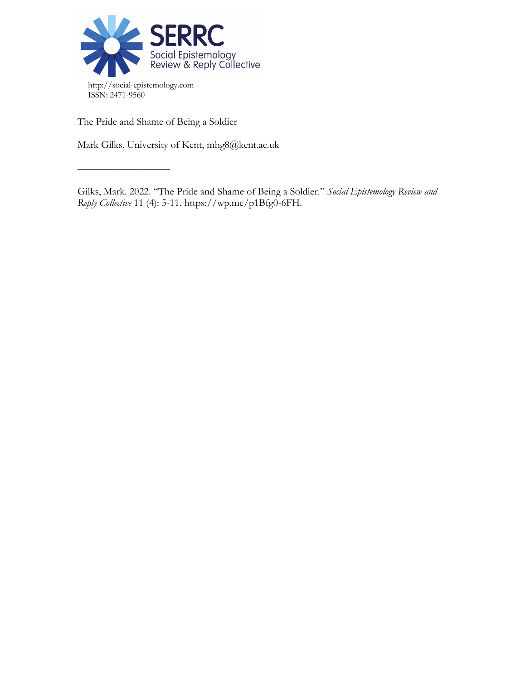

The Pride and Shame of Being a Soldier

––––––––––––––––––

Mark Gilks, University of Kent, mhg8@kent.ac.uk

Gilks, Mark. 2022. "The Pride and Shame of Being a Soldier." *Social Epistemology Review and Reply Collective* 11 (4): 5-11. https://wp.me/p1Bfg0-6FH.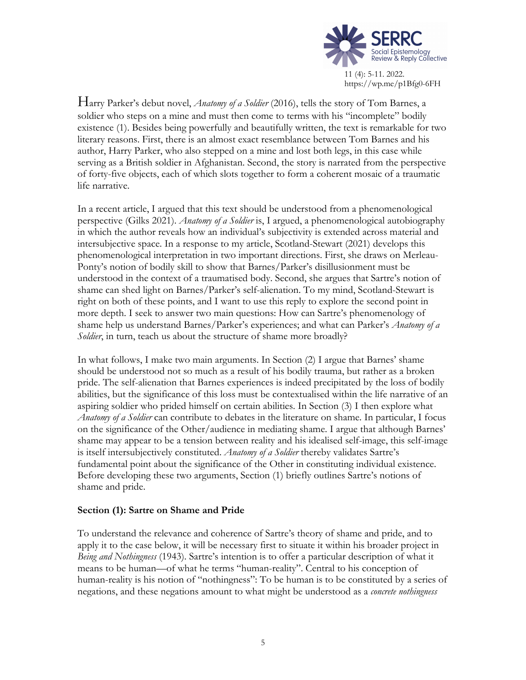

Harry Parker's debut novel, *Anatomy of a Soldier* (2016), tells the story of Tom Barnes, a soldier who steps on a mine and must then come to terms with his "incomplete" bodily existence (1). Besides being powerfully and beautifully written, the text is remarkable for two literary reasons. First, there is an almost exact resemblance between Tom Barnes and his author, Harry Parker, who also stepped on a mine and lost both legs, in this case while serving as a British soldier in Afghanistan. Second, the story is narrated from the perspective of forty-five objects, each of which slots together to form a coherent mosaic of a traumatic life narrative.

In a recent article, I argued that this text should be understood from a phenomenological perspective (Gilks 2021). *Anatomy of a Soldier* is, I argued, a phenomenological autobiography in which the author reveals how an individual's subjectivity is extended across material and intersubjective space. In a response to my article, Scotland-Stewart (2021) develops this phenomenological interpretation in two important directions. First, she draws on Merleau-Ponty's notion of bodily skill to show that Barnes/Parker's disillusionment must be understood in the context of a traumatised body. Second, she argues that Sartre's notion of shame can shed light on Barnes/Parker's self-alienation. To my mind, Scotland-Stewart is right on both of these points, and I want to use this reply to explore the second point in more depth. I seek to answer two main questions: How can Sartre's phenomenology of shame help us understand Barnes/Parker's experiences; and what can Parker's *Anatomy of a Soldier*, in turn, teach us about the structure of shame more broadly?

In what follows, I make two main arguments. In Section (2) I argue that Barnes' shame should be understood not so much as a result of his bodily trauma, but rather as a broken pride. The self-alienation that Barnes experiences is indeed precipitated by the loss of bodily abilities, but the significance of this loss must be contextualised within the life narrative of an aspiring soldier who prided himself on certain abilities. In Section (3) I then explore what *Anatomy of a Soldier* can contribute to debates in the literature on shame. In particular, I focus on the significance of the Other/audience in mediating shame. I argue that although Barnes' shame may appear to be a tension between reality and his idealised self-image, this self-image is itself intersubjectively constituted. *Anatomy of a Soldier* thereby validates Sartre's fundamental point about the significance of the Other in constituting individual existence. Before developing these two arguments, Section (1) briefly outlines Sartre's notions of shame and pride.

## **Section (1): Sartre on Shame and Pride**

To understand the relevance and coherence of Sartre's theory of shame and pride, and to apply it to the case below, it will be necessary first to situate it within his broader project in *Being and Nothingness* (1943). Sartre's intention is to offer a particular description of what it means to be human—of what he terms "human-reality". Central to his conception of human-reality is his notion of "nothingness": To be human is to be constituted by a series of negations, and these negations amount to what might be understood as a *concrete nothingness*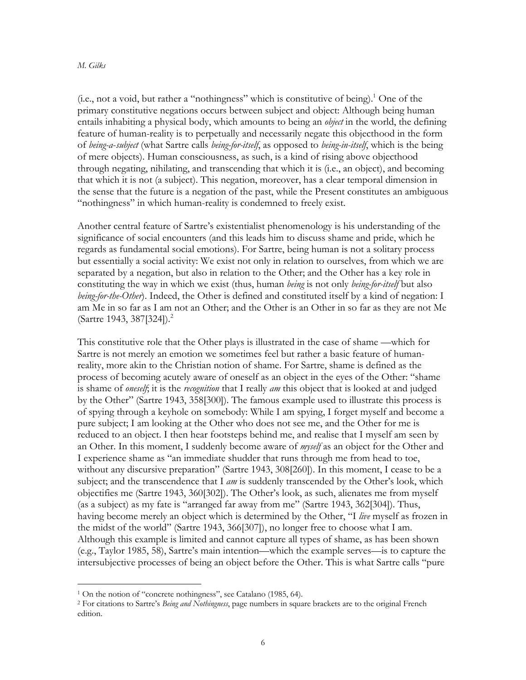### *M. Gilks*

 $(i.e., not a void, but rather a "nothingness" which is constitutive of being).<sup>1</sup> One of the$ primary constitutive negations occurs between subject and object: Although being human entails inhabiting a physical body, which amounts to being an *object* in the world, the defining feature of human-reality is to perpetually and necessarily negate this objecthood in the form of *being-a*-*subject* (what Sartre calls *being-for-itself*, as opposed to *being-in-itself*, which is the being of mere objects). Human consciousness, as such, is a kind of rising above objecthood through negating, nihilating, and transcending that which it is (i.e., an object), and becoming that which it is not (a subject). This negation, moreover, has a clear temporal dimension in the sense that the future is a negation of the past, while the Present constitutes an ambiguous "nothingness" in which human-reality is condemned to freely exist.

Another central feature of Sartre's existentialist phenomenology is his understanding of the significance of social encounters (and this leads him to discuss shame and pride, which he regards as fundamental social emotions). For Sartre, being human is not a solitary process but essentially a social activity: We exist not only in relation to ourselves, from which we are separated by a negation, but also in relation to the Other; and the Other has a key role in constituting the way in which we exist (thus, human *being* is not only *being-for-itself* but also *being-for-the-Other*). Indeed, the Other is defined and constituted itself by a kind of negation: I am Me in so far as I am not an Other; and the Other is an Other in so far as they are not Me (Sartre 1943, 387[324]). 2

This constitutive role that the Other plays is illustrated in the case of shame —which for Sartre is not merely an emotion we sometimes feel but rather a basic feature of humanreality, more akin to the Christian notion of shame. For Sartre, shame is defined as the process of becoming acutely aware of oneself as an object in the eyes of the Other: "shame is shame of *oneself*; it is the *recognition* that I really *am* this object that is looked at and judged by the Other" (Sartre 1943, 358[300]). The famous example used to illustrate this process is of spying through a keyhole on somebody: While I am spying, I forget myself and become a pure subject; I am looking at the Other who does not see me, and the Other for me is reduced to an object. I then hear footsteps behind me, and realise that I myself am seen by an Other. In this moment, I suddenly become aware of *myself* as an object for the Other and I experience shame as "an immediate shudder that runs through me from head to toe, without any discursive preparation" (Sartre 1943, 308[260]). In this moment, I cease to be a subject; and the transcendence that I *am* is suddenly transcended by the Other's look, which objectifies me (Sartre 1943, 360[302]). The Other's look, as such, alienates me from myself (as a subject) as my fate is "arranged far away from me" (Sartre 1943, 362[304]). Thus, having become merely an object which is determined by the Other, "I *live* myself as frozen in the midst of the world" (Sartre 1943, 366[307]), no longer free to choose what I am. Although this example is limited and cannot capture all types of shame, as has been shown (e.g., Taylor 1985, 58), Sartre's main intention—which the example serves—is to capture the intersubjective processes of being an object before the Other. This is what Sartre calls "pure

<sup>1</sup> On the notion of "concrete nothingness", see Catalano (1985, 64).

<sup>2</sup> For citations to Sartre's *Being and Nothingness*, page numbers in square brackets are to the original French edition.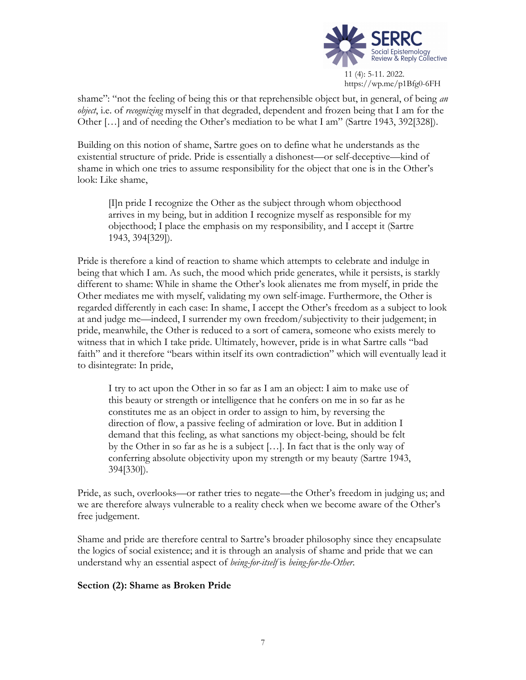

shame": "not the feeling of being this or that reprehensible object but, in general, of being *an object*, i.e. of *recognizing* myself in that degraded, dependent and frozen being that I am for the Other […] and of needing the Other's mediation to be what I am" (Sartre 1943, 392[328]).

Building on this notion of shame, Sartre goes on to define what he understands as the existential structure of pride. Pride is essentially a dishonest—or self-deceptive—kind of shame in which one tries to assume responsibility for the object that one is in the Other's look: Like shame,

[I]n pride I recognize the Other as the subject through whom objecthood arrives in my being, but in addition I recognize myself as responsible for my objecthood; I place the emphasis on my responsibility, and I accept it (Sartre 1943, 394[329]).

Pride is therefore a kind of reaction to shame which attempts to celebrate and indulge in being that which I am. As such, the mood which pride generates, while it persists, is starkly different to shame: While in shame the Other's look alienates me from myself, in pride the Other mediates me with myself, validating my own self-image. Furthermore, the Other is regarded differently in each case: In shame, I accept the Other's freedom as a subject to look at and judge me—indeed, I surrender my own freedom/subjectivity to their judgement; in pride, meanwhile, the Other is reduced to a sort of camera, someone who exists merely to witness that in which I take pride. Ultimately, however, pride is in what Sartre calls "bad faith" and it therefore "bears within itself its own contradiction" which will eventually lead it to disintegrate: In pride,

I try to act upon the Other in so far as I am an object: I aim to make use of this beauty or strength or intelligence that he confers on me in so far as he constitutes me as an object in order to assign to him, by reversing the direction of flow, a passive feeling of admiration or love. But in addition I demand that this feeling, as what sanctions my object-being, should be felt by the Other in so far as he is a subject […]. In fact that is the only way of conferring absolute objectivity upon my strength or my beauty (Sartre 1943, 394[330]).

Pride, as such, overlooks—or rather tries to negate—the Other's freedom in judging us; and we are therefore always vulnerable to a reality check when we become aware of the Other's free judgement.

Shame and pride are therefore central to Sartre's broader philosophy since they encapsulate the logics of social existence; and it is through an analysis of shame and pride that we can understand why an essential aspect of *being-for-itself* is *being-for-the-Other*.

## **Section (2): Shame as Broken Pride**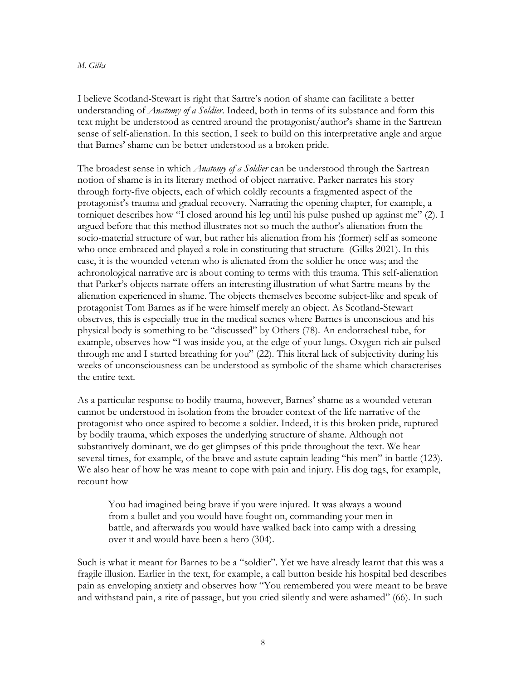### *M. Gilks*

I believe Scotland-Stewart is right that Sartre's notion of shame can facilitate a better understanding of *Anatomy of a Soldier*. Indeed, both in terms of its substance and form this text might be understood as centred around the protagonist/author's shame in the Sartrean sense of self-alienation. In this section, I seek to build on this interpretative angle and argue that Barnes' shame can be better understood as a broken pride.

The broadest sense in which *Anatomy of a Soldier* can be understood through the Sartrean notion of shame is in its literary method of object narrative. Parker narrates his story through forty-five objects, each of which coldly recounts a fragmented aspect of the protagonist's trauma and gradual recovery. Narrating the opening chapter, for example, a torniquet describes how "I closed around his leg until his pulse pushed up against me" (2). I argued before that this method illustrates not so much the author's alienation from the socio-material structure of war, but rather his alienation from his (former) self as someone who once embraced and played a role in constituting that structure (Gilks 2021). In this case, it is the wounded veteran who is alienated from the soldier he once was; and the achronological narrative arc is about coming to terms with this trauma. This self-alienation that Parker's objects narrate offers an interesting illustration of what Sartre means by the alienation experienced in shame. The objects themselves become subject-like and speak of protagonist Tom Barnes as if he were himself merely an object. As Scotland-Stewart observes, this is especially true in the medical scenes where Barnes is unconscious and his physical body is something to be "discussed" by Others (78). An endotracheal tube, for example, observes how "I was inside you, at the edge of your lungs. Oxygen-rich air pulsed through me and I started breathing for you" (22). This literal lack of subjectivity during his weeks of unconsciousness can be understood as symbolic of the shame which characterises the entire text.

As a particular response to bodily trauma, however, Barnes' shame as a wounded veteran cannot be understood in isolation from the broader context of the life narrative of the protagonist who once aspired to become a soldier. Indeed, it is this broken pride, ruptured by bodily trauma, which exposes the underlying structure of shame. Although not substantively dominant, we do get glimpses of this pride throughout the text. We hear several times, for example, of the brave and astute captain leading "his men" in battle (123). We also hear of how he was meant to cope with pain and injury. His dog tags, for example, recount how

You had imagined being brave if you were injured. It was always a wound from a bullet and you would have fought on, commanding your men in battle, and afterwards you would have walked back into camp with a dressing over it and would have been a hero (304).

Such is what it meant for Barnes to be a "soldier". Yet we have already learnt that this was a fragile illusion. Earlier in the text, for example, a call button beside his hospital bed describes pain as enveloping anxiety and observes how "You remembered you were meant to be brave and withstand pain, a rite of passage, but you cried silently and were ashamed" (66). In such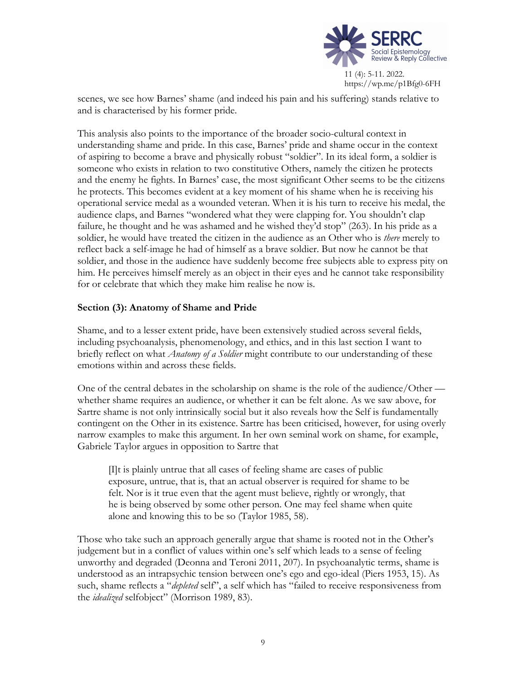

scenes, we see how Barnes' shame (and indeed his pain and his suffering) stands relative to and is characterised by his former pride.

This analysis also points to the importance of the broader socio-cultural context in understanding shame and pride. In this case, Barnes' pride and shame occur in the context of aspiring to become a brave and physically robust "soldier". In its ideal form, a soldier is someone who exists in relation to two constitutive Others, namely the citizen he protects and the enemy he fights. In Barnes' case, the most significant Other seems to be the citizens he protects. This becomes evident at a key moment of his shame when he is receiving his operational service medal as a wounded veteran. When it is his turn to receive his medal, the audience claps, and Barnes "wondered what they were clapping for. You shouldn't clap failure, he thought and he was ashamed and he wished they'd stop" (263). In his pride as a soldier, he would have treated the citizen in the audience as an Other who is *there* merely to reflect back a self-image he had of himself as a brave soldier. But now he cannot be that soldier, and those in the audience have suddenly become free subjects able to express pity on him. He perceives himself merely as an object in their eyes and he cannot take responsibility for or celebrate that which they make him realise he now is.

# **Section (3): Anatomy of Shame and Pride**

Shame, and to a lesser extent pride, have been extensively studied across several fields, including psychoanalysis, phenomenology, and ethics, and in this last section I want to briefly reflect on what *Anatomy of a Soldier* might contribute to our understanding of these emotions within and across these fields.

One of the central debates in the scholarship on shame is the role of the audience/Other whether shame requires an audience, or whether it can be felt alone. As we saw above, for Sartre shame is not only intrinsically social but it also reveals how the Self is fundamentally contingent on the Other in its existence. Sartre has been criticised, however, for using overly narrow examples to make this argument. In her own seminal work on shame, for example, Gabriele Taylor argues in opposition to Sartre that

[I]t is plainly untrue that all cases of feeling shame are cases of public exposure, untrue, that is, that an actual observer is required for shame to be felt. Nor is it true even that the agent must believe, rightly or wrongly, that he is being observed by some other person. One may feel shame when quite alone and knowing this to be so (Taylor 1985, 58).

Those who take such an approach generally argue that shame is rooted not in the Other's judgement but in a conflict of values within one's self which leads to a sense of feeling unworthy and degraded (Deonna and Teroni 2011, 207). In psychoanalytic terms, shame is understood as an intrapsychic tension between one's ego and ego-ideal (Piers 1953, 15). As such, shame reflects a "*depleted* self", a self which has "failed to receive responsiveness from the *idealized* selfobject" (Morrison 1989, 83).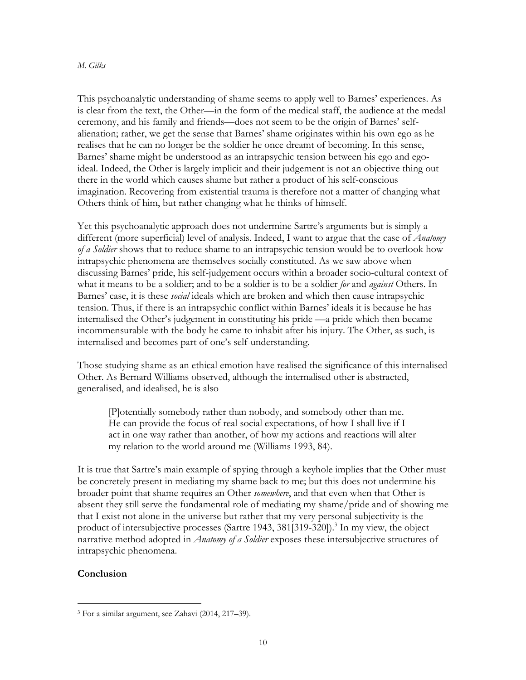### *M. Gilks*

This psychoanalytic understanding of shame seems to apply well to Barnes' experiences. As is clear from the text, the Other—in the form of the medical staff, the audience at the medal ceremony, and his family and friends—does not seem to be the origin of Barnes' selfalienation; rather, we get the sense that Barnes' shame originates within his own ego as he realises that he can no longer be the soldier he once dreamt of becoming. In this sense, Barnes' shame might be understood as an intrapsychic tension between his ego and egoideal. Indeed, the Other is largely implicit and their judgement is not an objective thing out there in the world which causes shame but rather a product of his self-conscious imagination. Recovering from existential trauma is therefore not a matter of changing what Others think of him, but rather changing what he thinks of himself.

Yet this psychoanalytic approach does not undermine Sartre's arguments but is simply a different (more superficial) level of analysis. Indeed, I want to argue that the case of *Anatomy of a Soldier* shows that to reduce shame to an intrapsychic tension would be to overlook how intrapsychic phenomena are themselves socially constituted. As we saw above when discussing Barnes' pride, his self-judgement occurs within a broader socio-cultural context of what it means to be a soldier; and to be a soldier is to be a soldier *for* and *against* Others. In Barnes' case, it is these *social* ideals which are broken and which then cause intrapsychic tension. Thus, if there is an intrapsychic conflict within Barnes' ideals it is because he has internalised the Other's judgement in constituting his pride —a pride which then became incommensurable with the body he came to inhabit after his injury. The Other, as such, is internalised and becomes part of one's self-understanding.

Those studying shame as an ethical emotion have realised the significance of this internalised Other. As Bernard Williams observed, although the internalised other is abstracted, generalised, and idealised, he is also

[P]otentially somebody rather than nobody, and somebody other than me. He can provide the focus of real social expectations, of how I shall live if I act in one way rather than another, of how my actions and reactions will alter my relation to the world around me (Williams 1993, 84).

It is true that Sartre's main example of spying through a keyhole implies that the Other must be concretely present in mediating my shame back to me; but this does not undermine his broader point that shame requires an Other *somewhere*, and that even when that Other is absent they still serve the fundamental role of mediating my shame/pride and of showing me that I exist not alone in the universe but rather that my very personal subjectivity is the product of intersubjective processes (Sartre 1943, 381[319-320]). <sup>3</sup> In my view, the object narrative method adopted in *Anatomy of a Soldier* exposes these intersubjective structures of intrapsychic phenomena.

## **Conclusion**

<sup>3</sup> For a similar argument, see Zahavi (2014, 217–39).